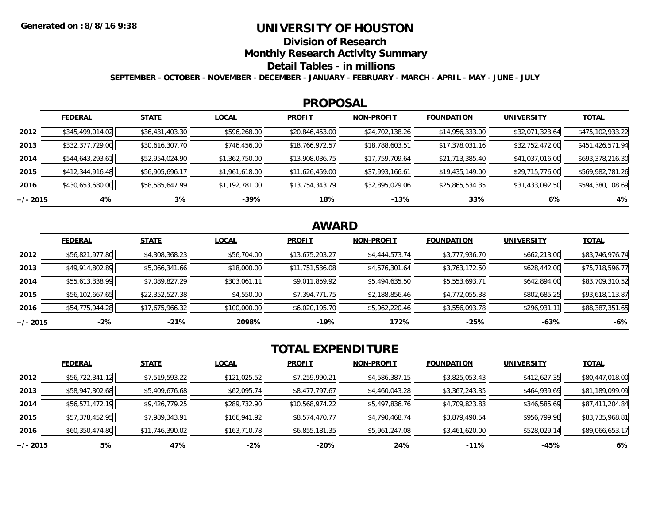## **UNIVERSITY OF HOUSTON**

**Division of Research**

**Monthly Research Activity Summary**

### **Detail Tables - in millions**

**SEPTEMBER - OCTOBER - NOVEMBER - DECEMBER - JANUARY - FEBRUARY - MARCH - APRIL - MAY - JUNE - JULY**

#### **PROPOSAL**

|            | <b>FEDERAL</b>   | <b>STATE</b>    | <b>LOCAL</b>   | <b>PROFIT</b>   | <b>NON-PROFIT</b> | <b>FOUNDATION</b> | <b>UNIVERSITY</b> | <b>TOTAL</b>     |
|------------|------------------|-----------------|----------------|-----------------|-------------------|-------------------|-------------------|------------------|
| 2012       | \$345,499,014.02 | \$36,431,403.30 | \$596,268.00   | \$20,846,453.00 | \$24,702,138.26   | \$14,956,333.00   | \$32,071,323.64   | \$475,102,933.22 |
| 2013       | \$332,377,729.00 | \$30,616,307.70 | \$746,456.00   | \$18,766,972.57 | \$18,788,603.51   | \$17,378,031.16   | \$32,752,472.00   | \$451,426,571.94 |
| 2014       | \$544,643,293.61 | \$52,954,024.90 | \$1,362,750.00 | \$13,908,036.75 | \$17,759,709.64   | \$21,713,385.40   | \$41,037,016.00   | \$693,378,216.30 |
| 2015       | \$412,344,916.48 | \$56,905,696.17 | \$1,961,618.00 | \$11,626,459.00 | \$37,993,166.61   | \$19,435,149.00   | \$29,715,776.00   | \$569,982,781.26 |
| 2016       | \$430,653,680.00 | \$58,585,647.99 | \$1,192,781.00 | \$13,754,343.79 | \$32,895,029.06   | \$25,865,534.35   | \$31,433,092.50   | \$594,380,108.69 |
| $+/- 2015$ | 4%               | 3%              | $-39%$         | 18%             | $-13%$            | 33%               | 6%                | 4%               |

# **AWARD**

|            | <b>FEDERAL</b>  | <b>STATE</b>    | <b>LOCAL</b> | <b>PROFIT</b>   | <b>NON-PROFIT</b> | <b>FOUNDATION</b> | <b>UNIVERSITY</b> | <b>TOTAL</b>    |
|------------|-----------------|-----------------|--------------|-----------------|-------------------|-------------------|-------------------|-----------------|
| 2012       | \$56,821,977.80 | \$4,308,368.23  | \$56,704.00  | \$13,675,203.27 | \$4,444,573.74    | \$3,777,936.70    | \$662,213.00      | \$83,746,976.74 |
| 2013       | \$49,914,802.89 | \$5,066,341.66  | \$18,000.00  | \$11,751,536.08 | \$4,576,301.64    | \$3,763,172.50    | \$628,442.00      | \$75,718,596.77 |
| 2014       | \$55,613,338.99 | \$7,089,827.29  | \$303,061.11 | \$9,011,859.92  | \$5,494,635.50    | \$5,553,693.71    | \$642,894.00      | \$83,709,310.52 |
| 2015       | \$56,102,667.65 | \$22,352,527.38 | \$4,550.00   | \$7,394,771.75  | \$2,188,856.46    | \$4,772,055.38    | \$802,685.25      | \$93,618,113.87 |
| 2016       | \$54,775,944.28 | \$17,675,966.32 | \$100,000.00 | \$6,020,195.70  | \$5,962,220.46    | \$3,556,093.78    | \$296,931.11      | \$88,387,351.65 |
| $+/- 2015$ | $-2\%$          | $-21%$          | 2098%        | $-19%$          | 172%              | $-25%$            | $-63%$            | $-6%$           |

# **TOTAL EXPENDITURE**

|            | <b>FEDERAL</b>  | <b>STATE</b>    | <b>LOCAL</b> | <b>PROFIT</b>   | <b>NON-PROFIT</b> | <b>FOUNDATION</b> | <b>UNIVERSITY</b> | <b>TOTAL</b>    |
|------------|-----------------|-----------------|--------------|-----------------|-------------------|-------------------|-------------------|-----------------|
| 2012       | \$56,722,341.12 | \$7,519,593.22  | \$121,025.52 | \$7,259,990.21  | \$4,586,387.15    | \$3,825,053.43    | \$412,627.35      | \$80,447,018.00 |
| 2013       | \$58,947,302.68 | \$5,409,676.68  | \$62,095.74  | \$8,477,797.67  | \$4,460,043.28    | \$3,367,243.35    | \$464,939.69      | \$81,189,099.09 |
| 2014       | \$56,571,472.19 | \$9,426,779.25  | \$289,732.90 | \$10,568,974.22 | \$5,497,836.76    | \$4,709,823.83    | \$346,585.69      | \$87,411,204.84 |
| 2015       | \$57,378,452.95 | \$7,989,343.91  | \$166,941.92 | \$8,574,470.77  | \$4,790,468.74    | \$3,879,490.54    | \$956,799.98      | \$83,735,968.81 |
| 2016       | \$60,350,474.80 | \$11,746,390.02 | \$163,710.78 | \$6,855,181.35  | \$5,961,247.08    | \$3,461,620.00    | \$528,029.14      | \$89,066,653.17 |
| $+/- 2015$ | 5%              | 47%             | $-2%$        | -20%            | 24%               | $-11\%$           | -45%              | 6%              |